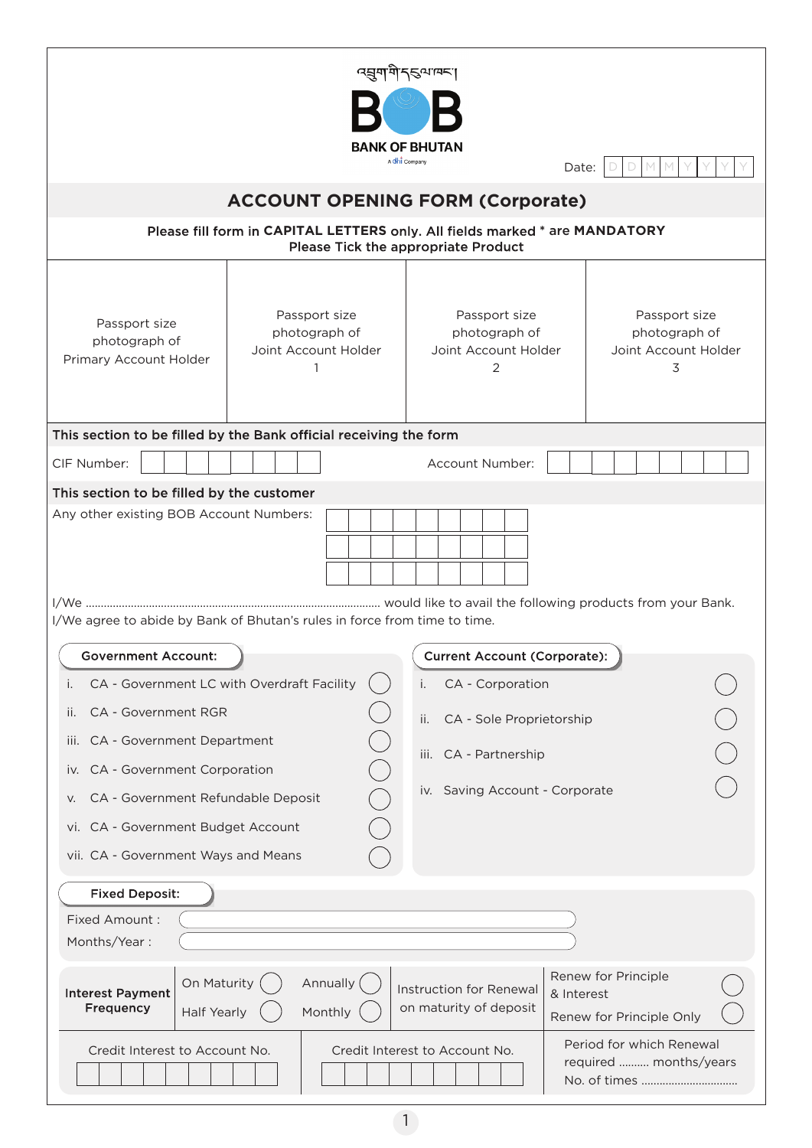| ৰ্ঘ্ৰশশীন্ত্ৰমান্দা<br><b>BANK OF BHUTAN</b><br>A chi Company<br>Date:                                                   |                                                        |                                                             |                                                               |  |
|--------------------------------------------------------------------------------------------------------------------------|--------------------------------------------------------|-------------------------------------------------------------|---------------------------------------------------------------|--|
| <b>ACCOUNT OPENING FORM (Corporate)</b>                                                                                  |                                                        |                                                             |                                                               |  |
| Please fill form in CAPITAL LETTERS only. All fields marked * are MANDATORY<br>Please Tick the appropriate Product       |                                                        |                                                             |                                                               |  |
| Passport size<br>photograph of<br>Primary Account Holder                                                                 | Passport size<br>photograph of<br>Joint Account Holder | Passport size<br>photograph of<br>Joint Account Holder<br>2 | Passport size<br>photograph of<br>Joint Account Holder<br>3   |  |
| This section to be filled by the Bank official receiving the form                                                        |                                                        |                                                             |                                                               |  |
| CIF Number:                                                                                                              |                                                        | Account Number:                                             |                                                               |  |
| Any other existing BOB Account Numbers:<br>I/We agree to abide by Bank of Bhutan's rules in force from time to time.     |                                                        |                                                             |                                                               |  |
| <b>Government Account:</b><br><b>Current Account (Corporate):</b>                                                        |                                                        |                                                             |                                                               |  |
| CA - Government LC with Overdraft Facility<br>Ι.                                                                         |                                                        | CA - Corporation<br>i.                                      |                                                               |  |
| <b>CA - Government RGR</b><br>П.                                                                                         |                                                        | ii.<br>CA - Sole Proprietorship                             |                                                               |  |
| CA - Government Department<br>III.                                                                                       |                                                        | CA - Partnership<br>Ш.                                      |                                                               |  |
| CA - Government Corporation<br>IV.                                                                                       |                                                        | iv. Saving Account - Corporate                              |                                                               |  |
| CA - Government Refundable Deposit<br>V.<br>CA - Government Budget Account<br>VI.<br>vii. CA - Government Ways and Means |                                                        |                                                             |                                                               |  |
| <b>Fixed Deposit:</b>                                                                                                    |                                                        |                                                             |                                                               |  |
| Fixed Amount:<br>Months/Year:                                                                                            |                                                        |                                                             |                                                               |  |
| On Maturity<br><b>Interest Payment</b><br>Frequency<br><b>Half Yearly</b>                                                | Annually (<br>Monthly                                  | Instruction for Renewal<br>on maturity of deposit           | Renew for Principle<br>& Interest<br>Renew for Principle Only |  |
| Period for which Renewal<br>Credit Interest to Account No.<br>Credit Interest to Account No.<br>required  months/years   |                                                        |                                                             |                                                               |  |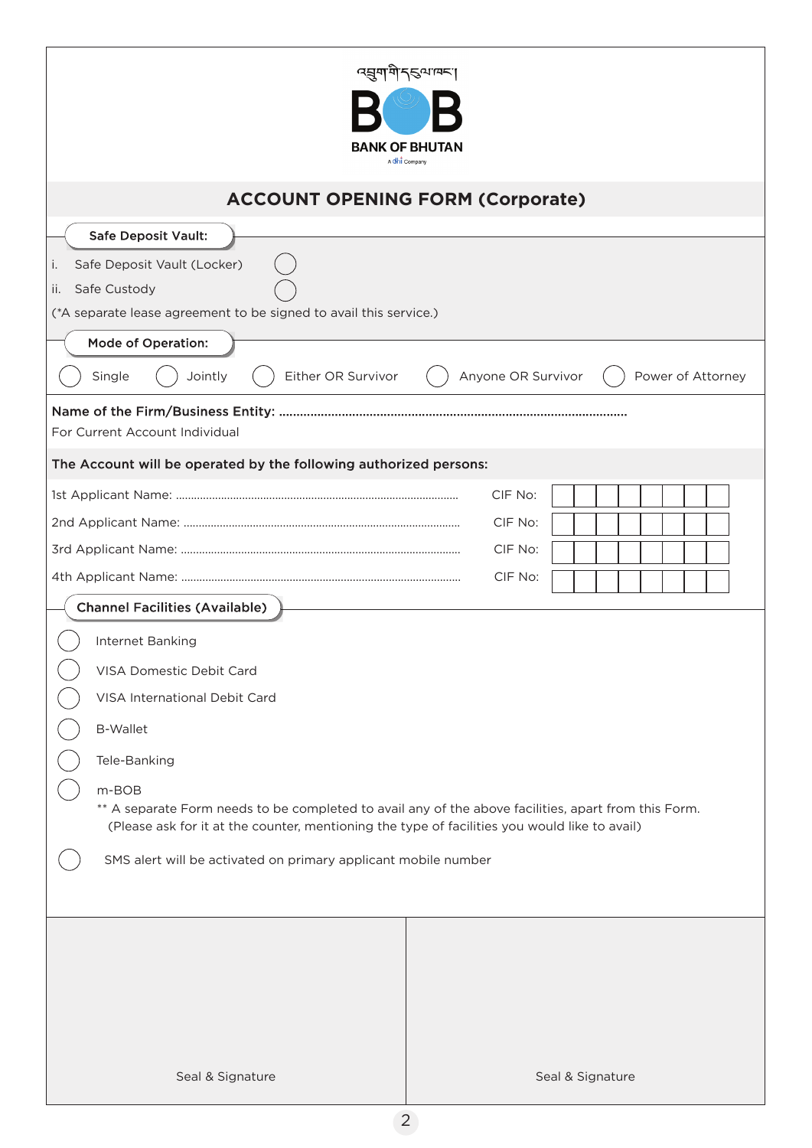| <i>प</i> झुग]गे न्5ूषावना<br><b>BANK OF BHUTAN</b><br>A Chi Company                                                                                                                                            |                  |  |  |  |
|----------------------------------------------------------------------------------------------------------------------------------------------------------------------------------------------------------------|------------------|--|--|--|
| <b>ACCOUNT OPENING FORM (Corporate)</b>                                                                                                                                                                        |                  |  |  |  |
| <b>Safe Deposit Vault:</b>                                                                                                                                                                                     |                  |  |  |  |
| Safe Deposit Vault (Locker)<br>i.<br>Safe Custody<br>ii.<br>(*A separate lease agreement to be signed to avail this service.)                                                                                  |                  |  |  |  |
| Mode of Operation:                                                                                                                                                                                             |                  |  |  |  |
| Single<br>Either OR Survivor<br>Anyone OR Survivor<br>Power of Attorney<br>Jointly                                                                                                                             |                  |  |  |  |
| For Current Account Individual                                                                                                                                                                                 |                  |  |  |  |
| The Account will be operated by the following authorized persons:                                                                                                                                              |                  |  |  |  |
|                                                                                                                                                                                                                | CIF No:          |  |  |  |
|                                                                                                                                                                                                                | CIF No:          |  |  |  |
|                                                                                                                                                                                                                | CIF No:          |  |  |  |
| CIF No:                                                                                                                                                                                                        |                  |  |  |  |
| <b>Channel Facilities (Available)</b>                                                                                                                                                                          |                  |  |  |  |
| Internet Banking                                                                                                                                                                                               |                  |  |  |  |
| VISA Domestic Debit Card                                                                                                                                                                                       |                  |  |  |  |
| VISA International Debit Card                                                                                                                                                                                  |                  |  |  |  |
| <b>B-Wallet</b>                                                                                                                                                                                                |                  |  |  |  |
| Tele-Banking                                                                                                                                                                                                   |                  |  |  |  |
| m-BOB<br>** A separate Form needs to be completed to avail any of the above facilities, apart from this Form.<br>(Please ask for it at the counter, mentioning the type of facilities you would like to avail) |                  |  |  |  |
| SMS alert will be activated on primary applicant mobile number                                                                                                                                                 |                  |  |  |  |
|                                                                                                                                                                                                                |                  |  |  |  |
|                                                                                                                                                                                                                |                  |  |  |  |
|                                                                                                                                                                                                                |                  |  |  |  |
|                                                                                                                                                                                                                |                  |  |  |  |
|                                                                                                                                                                                                                |                  |  |  |  |
|                                                                                                                                                                                                                |                  |  |  |  |
| Seal & Signature                                                                                                                                                                                               | Seal & Signature |  |  |  |